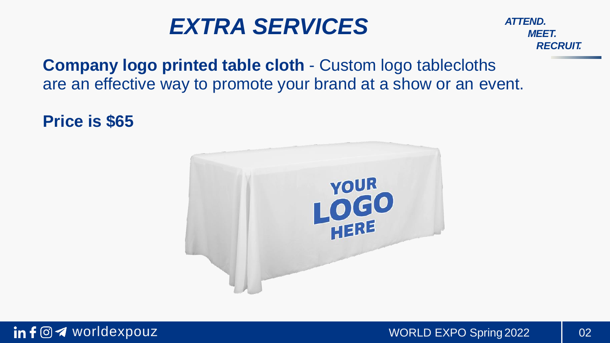*MEET. RECRUIT.*

## **Company logo printed table cloth - Custom logo tablecloths** are an effective way to promote your brand at a show or an event.

**Price is \$65**

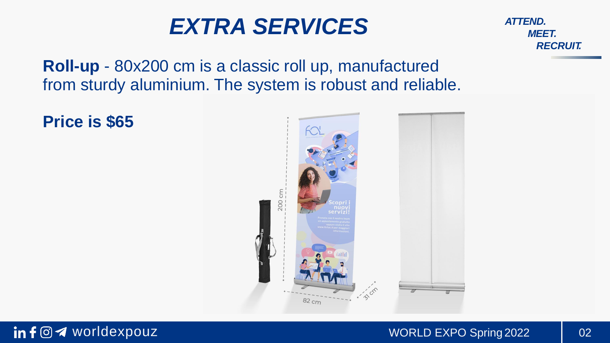*MEET. RECRUIT.*

**Roll-up** - 80x200 cm is a classic roll up, manufactured from sturdy aluminium. The system is robust and reliable.

**Price is \$65**

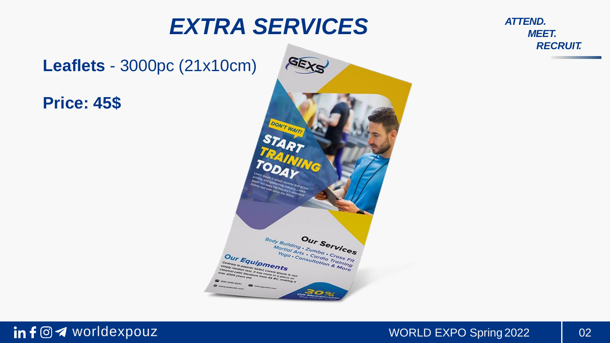**Leaflets** - 3000pc (21x10cm)

**Price: 45\$**



*MEET. RECRUIT.*

#### in f  $\odot$  4 worldexpouz and the set of the world EXPO Spring 2022 2022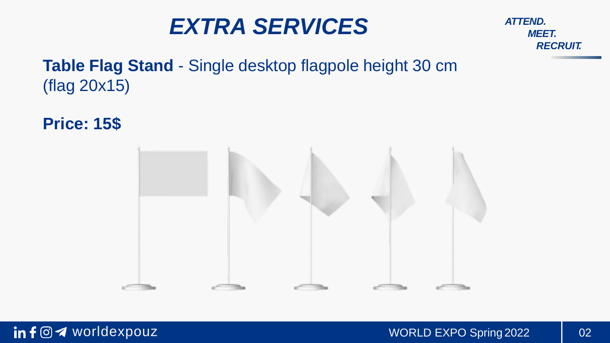*MEET. RECRUIT.*

## **Table Flag Stand** - Single desktop flagpole height 30 cm (flag 20x15)

**Price: 15\$**

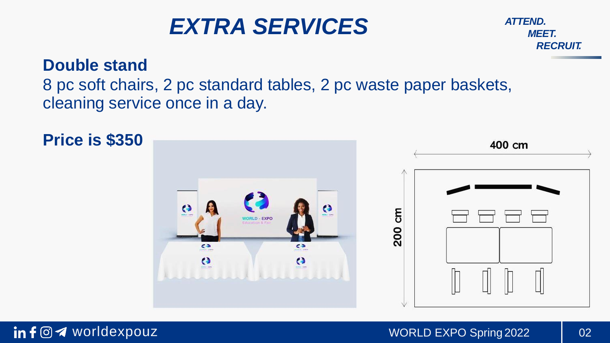

#### **Double stand**

## 8 pc soft chairs, 2 pc standard tables, 2 pc waste paper baskets, cleaning service once in a day.

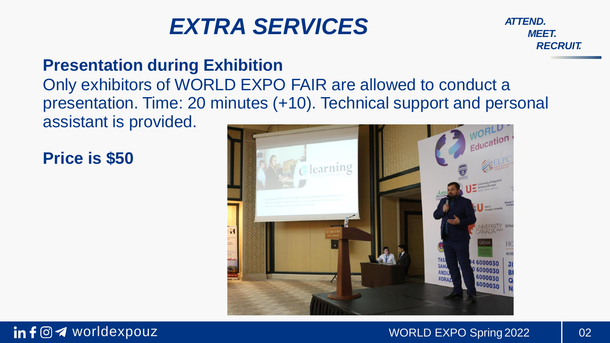*MEET. RECRUIT.*

## **Presentation during Exhibition**

## Only exhibitors of WORLD EXPO FAIR are allowed to conduct a presentation. Time: 20 minutes (+10). Technical support and personal assistant is provided.

## **Price is \$50**



#### in f  $\odot$  4 worldexpouz exponential contracts work to work and work of the spring 2022 and 02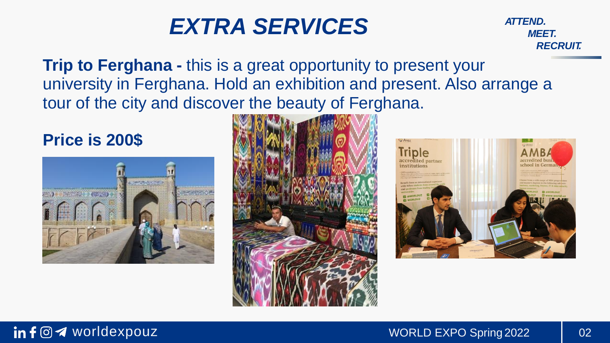*MEET. RECRUIT.*

**Trip to Ferghana -** this is a great opportunity to present your university in Ferghana. Hold an exhibition and present. Also arrange a tour of the city and discover the beauty of Ferghana.

### **Price is 200\$**





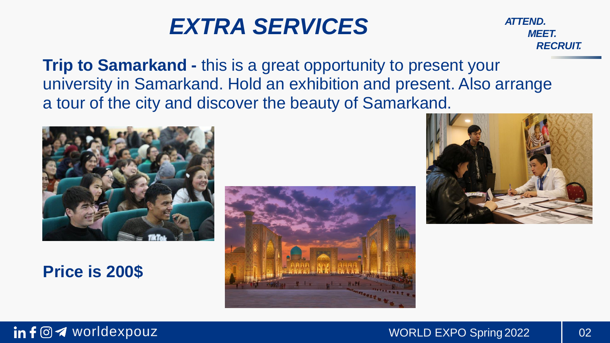*MEET. RECRUIT.*

**Trip to Samarkand -** this is a great opportunity to present your university in Samarkand. Hold an exhibition and present. Also arrange a tour of the city and discover the beauty of Samarkand.



**Price is 200\$**





#### in f  $\odot$  4 worldexpouz exponential contracts work to work and work of the spring 2022 and 02